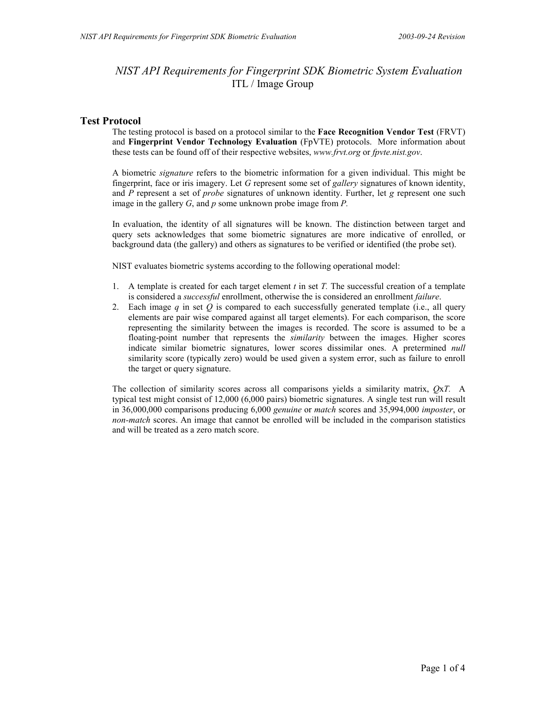# *NIST API Requirements for Fingerprint SDK Biometric System Evaluation* ITL / Image Group

# **Test Protocol**

The testing protocol is based on a protocol similar to the **Face Recognition Vendor Test** (FRVT) and **Fingerprint Vendor Technology Evaluation** (FpVTE) protocols. More information about these tests can be found off of their respective websites, *www.frvt.org* or *fpvte.nist.gov*.

A biometric *signature* refers to the biometric information for a given individual. This might be fingerprint, face or iris imagery. Let *G* represent some set of *gallery* signatures of known identity, and *P* represent a set of *probe* signatures of unknown identity. Further, let *g* represent one such image in the gallery *G*, and *p* some unknown probe image from *P.*

In evaluation, the identity of all signatures will be known. The distinction between target and query sets acknowledges that some biometric signatures are more indicative of enrolled, or background data (the gallery) and others as signatures to be verified or identified (the probe set).

NIST evaluates biometric systems according to the following operational model:

- 1. A template is created for each target element *t* in set *T.* The successful creation of a template is considered a *successful* enrollment, otherwise the is considered an enrollment *failure*.
- 2. Each image *q* in set *Q* is compared to each successfully generated template (i.e., all query elements are pair wise compared against all target elements). For each comparison, the score representing the similarity between the images is recorded. The score is assumed to be a floating-point number that represents the *similarity* between the images. Higher scores indicate similar biometric signatures, lower scores dissimilar ones. A pretermined *null* similarity score (typically zero) would be used given a system error, such as failure to enroll the target or query signature.

The collection of similarity scores across all comparisons yields a similarity matrix, *Q*x*T.* A typical test might consist of 12,000 (6,000 pairs) biometric signatures. A single test run will result in 36,000,000 comparisons producing 6,000 *genuine* or *match* scores and 35,994,000 *imposter*, or *non-match* scores. An image that cannot be enrolled will be included in the comparison statistics and will be treated as a zero match score.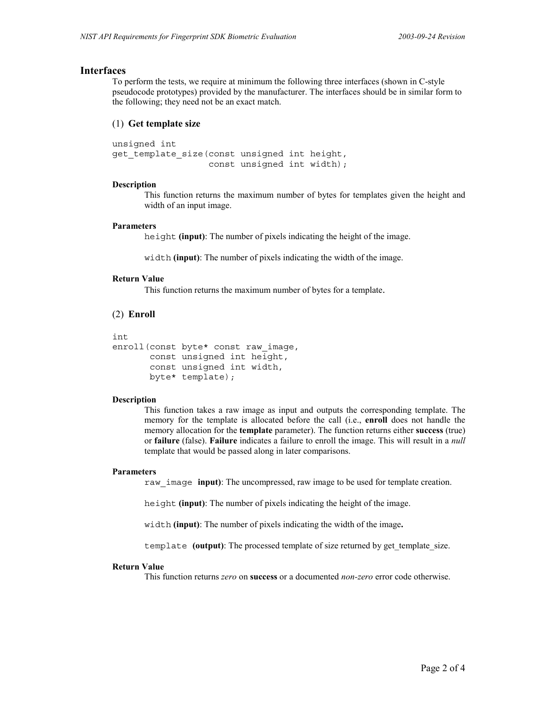### **Interfaces**

To perform the tests, we require at minimum the following three interfaces (shown in C-style pseudocode prototypes) provided by the manufacturer. The interfaces should be in similar form to the following; they need not be an exact match.

### (1) **Get template size**

unsigned int get template size(const unsigned int height, const unsigned int width);

#### **Description**

This function returns the maximum number of bytes for templates given the height and width of an input image.

#### **Parameters**

height **(input)**: The number of pixels indicating the height of the image.

width **(input)**: The number of pixels indicating the width of the image.

### **Return Value**

This function returns the maximum number of bytes for a template.

## (2) **Enroll**

```
int
enroll(const byte* const raw_image,
        const unsigned int height,
        const unsigned int width,
        byte* template);
```
### **Description**

This function takes a raw image as input and outputs the corresponding template. The memory for the template is allocated before the call (i.e., **enroll** does not handle the memory allocation for the **template** parameter). The function returns either **success** (true) or **failure** (false). **Failure** indicates a failure to enroll the image. This will result in a *null* template that would be passed along in later comparisons.

#### **Parameters**

raw\_image **input)**: The uncompressed, raw image to be used for template creation.

height **(input)**: The number of pixels indicating the height of the image.

width **(input)**: The number of pixels indicating the width of the image**.**

template **(output)**: The processed template of size returned by get template size.

### **Return Value**

This function returns *zero* on **success** or a documented *non-zero* error code otherwise.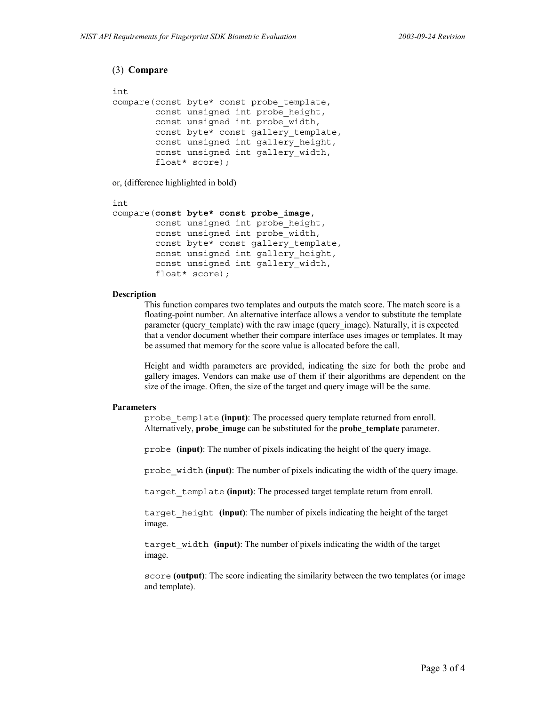```
(3) Compare
```

```
int
compare(const byte* const probe_template,
         const unsigned int probe_height,
         const unsigned int probe_width,
         const byte* const gallery_template,
         const unsigned int gallery_height,
         const unsigned int gallery_width,
         float* score);
```
or, (difference highlighted in bold)

```
int
compare(const byte* const probe_image,
         const unsigned int probe_height,
         const unsigned int probe_width,
        const byte* const gallery template,
         const unsigned int gallery_height,
         const unsigned int gallery_width,
         float* score);
```
### **Description**

This function compares two templates and outputs the match score. The match score is a floating-point number. An alternative interface allows a vendor to substitute the template parameter (query template) with the raw image (query image). Naturally, it is expected that a vendor document whether their compare interface uses images or templates. It may be assumed that memory for the score value is allocated before the call.

Height and width parameters are provided, indicating the size for both the probe and gallery images. Vendors can make use of them if their algorithms are dependent on the size of the image. Often, the size of the target and query image will be the same.

#### **Parameters**

probe\_template **(input)**: The processed query template returned from enroll. Alternatively, **probe\_image** can be substituted for the **probe\_template** parameter.

probe **(input)**: The number of pixels indicating the height of the query image.

probe\_width **(input)**: The number of pixels indicating the width of the query image.

target\_template **(input)**: The processed target template return from enroll.

target\_height **(input)**: The number of pixels indicating the height of the target image.

target\_width **(input)**: The number of pixels indicating the width of the target image.

score **(output)**: The score indicating the similarity between the two templates (or image and template).